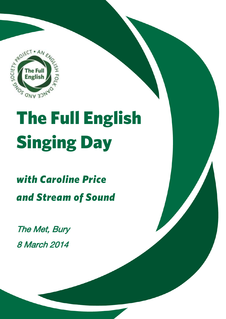

# Cincing Day Singing Day

**Explore | Discover | Take Part**

### with Caroline Price *with Caroline Price and Stream of Sound*

The Met, Bury 8 March 2014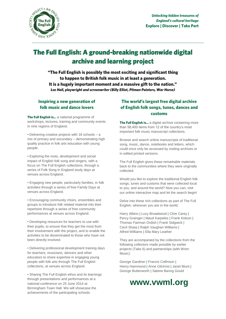

# **The Full English: A ground-breaking nationwide digital archive and learning project**

**"The Full English is possibly the most exciting and significant thing**  It is a hugely important moment and a massive gift to the nation." **Lee Hall, playwright and screenwriter (Billy Elliot, Pitman Painters, War Horse)** *Lee Hall, playwright and screenwriter (Billy Elliot, Pitman Painters, War Horse)*

### **Inspiring a new generation of folk music and dance lovers**

**The Full English is…** a national programme of workshops, lectures, training and community events in nine regions of England.

• Delivering creative projects with 18 schools – a mix of primary and secondary – demonstrating high quality practice in folk arts education with young people.

• Exploring the roots, development and social impact of English folk song and singers, with a focus on The Full English collections, through a series of Folk Song in England study days at venues across England.

• Engaging new people, particularly families, in folk activities through a series of free Family Days at venues across England.

• Encouraging community choirs, ensembles and groups to introduce folk related material into their repertoire through a series of free community performances at venues across England.

• Developing resources for teachers to use with their pupils, to ensure that they get the most from their involvement with the project, and to enable the activities to be disseminated to those who have not been directly involved.

• Delivering professional development training days for teachers, musicians, dancers and other educators to share expertise in engaging young people with folk arts through The Full English collections, at venues across England.

• Sharing The Full English ethos and its learnings through presentations and performances at a national conference on 25 June 2014 at Birmingham Town Hall. We will showcase the achievements of the participating schools.

### **The World's Community of The World's Largest The World's Largest The Community Community of English folk songs, tunes, dances and customs**

**The Full English is…** a digital archive containing more than 58,400 items from 12 of the country's most important folk music manuscript collections.

Browse and search online manuscripts of traditional song, music, dance, notebooks and letters, which could once only be accessed by visiting archives or in edited printed versions.

The Full English gives these remarkable materials back to the communities where they were originally collected.

Would you like to explore the traditional English folk songs, tunes and customs that were collected local to you, and around the world? Now you can; visit our online interactive map and let the search begin!

Delve into these rich collections as part of The Full English, wherever you are in the world:

Harry Albino | Lucy Broadwood | Clive Carey | Percy Grainger | Maud Karpeles | Frank Kidson | Thomas Fairman Ordish | Frank Sidgwick | Cecil Sharp | Ralph Vaughan Williams | Alfred Williams | Ella Mary Leather

They are accompanied by the collections from the following collectors made possible by earlier projects (Take 6) and partnerships (with Wren Music):

George Gardiner | Francis Collinson | Henry Hammond | Anne Gilchrist | Janet Blunt | George Butterworth | Sabine Baring Gould

### **www.vwml.org**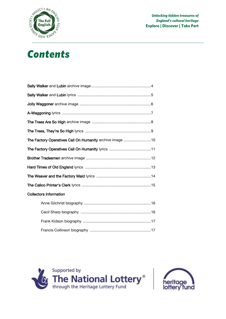

### **Contents** *Contents*

| The Factory Operatives Call On Humanity archive image 10 |  |
|----------------------------------------------------------|--|
|                                                          |  |
|                                                          |  |
|                                                          |  |
|                                                          |  |
|                                                          |  |
| <b>Collectors Information</b>                            |  |
|                                                          |  |
|                                                          |  |
|                                                          |  |





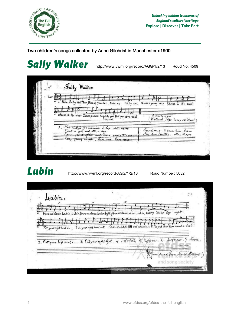

### Two children's songs collected by Anne Gilchrist in Manchester c1900

# Sally Walker <http://www.vwml.org/record/AGG/1/2/13>Roud No: 4509

| $\sqrt{\gamma^2}$           | Sally Walker                                                                              |                                                                   |  |
|-----------------------------|-------------------------------------------------------------------------------------------|-------------------------------------------------------------------|--|
| $1.2 \frac{1}{\frac{1}{2}}$ | 1. Rise, Sally Walther, Rise if you can, Rise up                                          |                                                                   |  |
|                             |                                                                                           | Sally and choose a young man Choose to the east                   |  |
|                             | I choose to the west Choose choose The pretty girl that you love best                     | Altrincham and<br>Whitweek Trips in my childhood                  |  |
|                             |                                                                                           |                                                                   |  |
|                             | 2. Now Sally's got manual I hope shall enjoy<br>Seven years after and seven years to come | Second ruse, to same ture, from<br>hay Anne Hartley. May 1st 1900 |  |
|                             | Tray young comple, his and have done.                                                     |                                                                   |  |
|                             |                                                                                           |                                                                   |  |

Lubin<br>**Lubin** <http://www.vwml.org/record/AGG/1/2/13>Roud Number: 5032

 $21$ Lubin. Here we dance Lubin, Lubin, Here we dance Lubin light; Here we dance Lubin, Lubin, every Satur. day might  $50000$ Put your right hand in; Put your right hand out Shake it a lit tlesse and shake it a lit tle and then turn round a bout. 2. Put your left hand in. 3 Put your right foot. 4 Lieft foot. 5 Rightear. 6. Lieft ear. 7 Noses. and song societ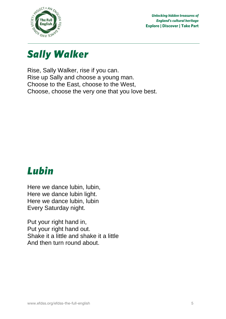



Rise, Sally Walker, rise if you can. Rise up Sally and choose a young man. Choose to the East, choose to the West, Choose, choose the very one that you love best.

### Lubin *Lubin*

Here we dance lubin, lubin, Here we dance lubin light. Here we dance lubin, lubin Every Saturday night.

Put your right hand in, Put your right hand out. Shake it a little and shake it a little And then turn round about.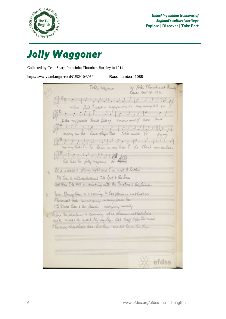

*Jolly Waggoner* Collected by Cecil Sharp from John Thornber, Burnley in 1914

http://www.vwml.org/record/CJS2/10/3069 Roud number: 1088

Tolly Waymer . W. Yola Thomber at Realy H i i i lo<br>many aux the "house stupe that I did conder 90" signing  $\begin{bmatrix} 1 & 1 & 1 & 1 \\ 0 & 1 & 1 & 1 \end{bmatrix}$  of the same of the first of the summer that by as able joby nayones do any It is a cold a stormy night and I'm wet & bething I'll hear it with contentment tell fact to the Lone and then I'dl Fit a - driveing with the Tandlow a This friend. 3. New Sprugtum or a coming to hat pleasure methods see Photomate hills are a survive on any sum her The flock how i the theoder accounty meeting 4. Trow Michaelme & coming what pleasure wethalfline with make the great fly my boy. This disf before the news The sum had that the his tan model hear his time efdss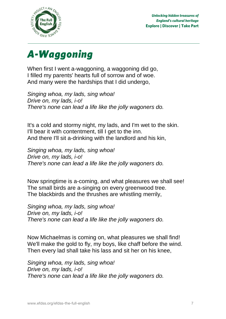



When first I went a-waggoning, a waggoning did go, I filled my parents' hearts full of sorrow and of woe. And many were the hardships that I did undergo,

*Singing whoa, my lads, sing whoa! Drive on, my lads, i-o! There's none can lead a life like the jolly wagoners do.*

It's a cold and stormy night, my lads, and I'm wet to the skin. I'll bear it with contentment, till I get to the inn. And there I'll sit a-drinking with the landlord and his kin,

*Singing whoa, my lads, sing whoa! Drive on, my lads, i-o! There's none can lead a life like the jolly wagoners do.*

Now springtime is a-coming, and what pleasures we shall see! The small birds are a-singing on every greenwood tree. The blackbirds and the thrushes are whistling merrily,

*Singing whoa, my lads, sing whoa! Drive on, my lads, i-o! There's none can lead a life like the jolly wagoners do.*

Now Michaelmas is coming on, what pleasures we shall find! We'll make the gold to fly, my boys, like chaff before the wind. Then every lad shall take his lass and sit her on his knee,

*Singing whoa, my lads, sing whoa! Drive on, my lads, i-o! There's none can lead a life like the jolly wagoners do.*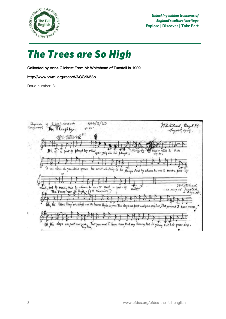

*The Trees are So High* Collected by Anne Gilchrist From Mr Whitehead of Tunstall in 1909

http://www.vwml.org/record/AGG/3/63b

Roud number: 31

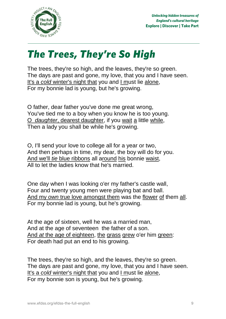

*The Trees, They're So High* The trees, they're so high, and the leaves, they're so green. The days are past and gone, my love, that you and I have seen. It's a *cold* winter's night that you and I must lie alone, For my bonnie lad is young, but he's growing.

O father, dear father you've done me great wrong, You've tied me to a boy when you know he is too young. O *daughter*, dearest daughter, if you wait a little while, Then a lady you shall be while he's growing.

O, I'll send your love to college all for a year or two, And then perhaps in time, my dear, the boy will do for you. And we'll *tie* blue ribbons all around his bonnie waist, All to let the ladies know that he's married.

One day when I was looking o'er my father's castle wall, Four and twenty young men were playing bat and ball. And my *own* true love amongst them was the flower of them all. For my bonnie lad is young, but he's growing.

At the age of sixteen, well he was a married man, And at the age of seventeen the father of a son. And *at* the age of eighteen, the grass grew o'er him green: For death had put an end to his growing.

The trees, they're so high, and the leaves, they're so green. The days are past and gone, my love, that you and I have seen. It's a *cold* winter's night that you and I must lie alone, For my bonnie son is young, but he's growing.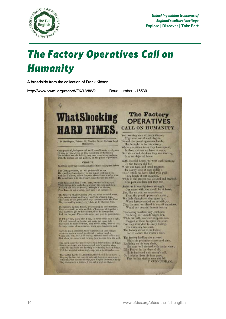

# *The Factory Operatives Call on*

*Humanity* A broadside from the collection of Frank Kidson

http://www.vwml.org/record/FK/18/82/2 Roud number: v16539

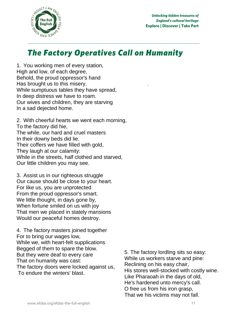

### *The Factory Operatives Call on Humanity*

1. You working men of every station, High and low, of each degree, Behold, the proud oppressor's hand Has brought us to this misery. While sumptuous tables they have spread, In deep distress we have to roam. Our wives and children, they are starving In a sad dejected home.

2. With cheerful hearts we went each morning, To the factory did hie, The while, our hard and cruel masters In their downy beds did lie. Their coffers we have filled with gold, They laugh at our calamity: While in the streets, half clothed and starved, Our little children you may see.

3. Assist us in our righteous struggle Our cause should be close to your heart. For like us, you are unprotected From the proud oppressor's smart. We little thought, in days gone by, When fortune smiled on us with joy That men we placed in stately mansions Would our peaceful homes destroy.

4. The factory masters joined together For to bring our wages low, While we, with heart-felt supplications Begged of them to spare the blow. But they were deaf to every care That on humanity was cast: The factory doors were locked against us, To endure the winters' blast.

5. The factory lordling sits so easy: While us workers starve and pine: Reclining on his easy chair, His stores well-stocked with costly wine. Like Pharaoah in the days of old, He's hardened unto mercy's call. O free us from his iron grasp, That we his victims may not fall.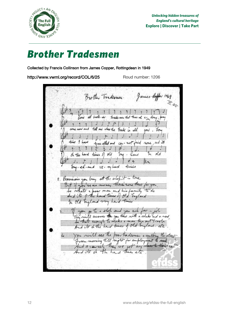

### **Brother Tradesmen**

*Brother Tradesmen* Collected by Francis Collinson from James Copper, Rottingdean in 1949

http://www.vwml.org/record/COL/6/25 Roud number: 1206

James Coffer 1969 Brother Tradeomen. rl  $b$ -elle-en Trader that trop A ä tell me where the trade is all mil time I have trav. elled and and its  $cm Ann!$ oh the hard times of  $6d$ In old  $\ln$  $\cdot$ Kand . el-and times ve- mihard 2. Provisions you long at the one true we as neoney there have there man and his T. W  $\overline{a}$  $\sim$ hard times of  $\rho$  dbs  $\frac{1}{2}$ old  $44.4$ 7b twa ħп you and 5 and  $\overline{\mathcal{N}}$ you there with  $0a$ hu a ine, times tia poor tradeomen a well 400  $m \sim$  $\overline{f}$ or till moth  $400$  $5ve$  $\overline{\tau}$ 1 95  $\overline{ab}$ th he 1 trines ete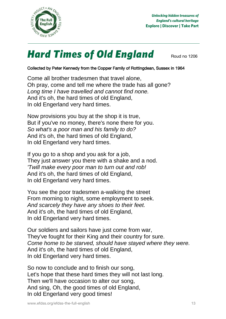

# **Hard Times of Old England** Roud no 1206

### Collected by Peter Kennedy from the Copper Family of Rottingdean, Sussex in 1964

Come all brother tradesmen that travel alone, Oh pray, come and tell me where the trade has all gone? *Long time I have travelled and cannot find none.* And it's oh, the hard times of old England, In old Engerland very hard times.

Now provisions you buy at the shop it is true, But if you've no money, there's none there for you. *So what's a poor man and his family to do?* And it's oh, the hard times of old England, In old Engerland very hard times.

If you go to a shop and you ask for a job, They just answer you there with a shake and a nod. *'Twill make every poor man to turn out and rob!* And it's oh, the hard times of old England, In old Engerland very hard times.

You see the poor tradesmen a-walking the street From morning to night, some employment to seek. *And scarcely they have any shoes to their feet.* And it's oh, the hard times of old England, In old Engerland very hard times.

Our soldiers and sailors have just come from war, They've fought for their King and their country for sure. *Come home to be starved, should have stayed where they were.* And it's oh, the hard times of old England, In old Engerland very hard times.

So now to conclude and to finish our song, Let's hope that these hard times they will not last long. Then we'll have occasion to alter our song, And sing, Oh, the good times of old England, In old Engerland very good times!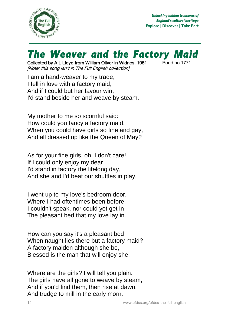

# **The Weaver and the Factory Maid**<br>Collected by A L Lloyd from William Oliver in Widnes, 1951 **Roud no 1771**

Collected by A L Lloyd from William Oliver in Widnes, 1951 [Note: this song isn't in The Full English collection]

I am a hand-weaver to my trade, I fell in love with a factory maid, And if I could but her favour win, I'd stand beside her and weave by steam.

My mother to me so scornful said: How could you fancy a factory maid, When you could have girls so fine and gay, And all dressed up like the Queen of May?

As for your fine girls, oh, I don't care! If I could only enjoy my dear I'd stand in factory the lifelong day, And she and I'd beat our shuttles in play.

I went up to my love's bedroom door, Where I had oftentimes been before: I couldn't speak, nor could yet get in The pleasant bed that my love lay in.

How can you say it's a pleasant bed When naught lies there but a factory maid? A factory maiden although she be, Blessed is the man that will enjoy she.

Where are the girls? I will tell you plain. The girls have all gone to weave by steam, And if you'd find them, then rise at dawn, And trudge to mill in the early morn.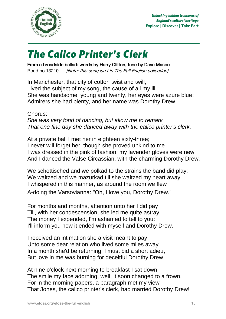

# *The Calico Printer's Clerk*

From a broadside ballad: words by Harry Clifton, tune by Dave Mason Roud no 13210 *[Note: this song isn't in The Full English collection]* 

In Manchester, that city of cotton twist and twill, Lived the subject of my song, the cause of all my ill. She was handsome, young and twenty, her eyes were azure blue: Admirers she had plenty, and her name was Dorothy Drew.

Chorus: *She was very fond of dancing, but allow me to remark That one fine day she danced away with the calico printer's clerk.*

At a private ball I met her in eighteen sixty-three: I never will forget her, though she proved unkind to me. I was dressed in the pink of fashion, my lavender gloves were new, And I danced the Valse Circassian, with the charming Dorothy Drew.

We schottisched and we polkad to the strains the band did play; We waltzed and we mazurkad till she waltzed my heart away. I whispered in this manner, as around the room we flew

A-doing the Varsovianna: "Oh, I love you, Dorothy Drew."

For months and months, attention unto her I did pay Till, with her condescension, she led me quite astray. The money I expended, I'm ashamed to tell to you: I'll inform you how it ended with myself and Dorothy Drew.

I received an intimation she a visit meant to pay Unto some dear relation who lived some miles away. In a month she'd be returning, I must bid a short adieu, But love in me was burning for deceitful Dorothy Drew.

At nine o'clock next morning to breakfast I sat down - The smile my face adorning, well, it soon changed to a frown. For in the morning papers, a paragraph met my view That Jones, the calico printer's clerk, had married Dorothy Drew!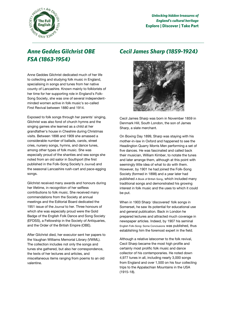

### **Anne Geddes Gilchrist OBE** *FSA (1863-1954) FSA (1863-1954)*

Anne Geddes Gilchrist dedicated much of her life to collecting and studying folk music in England, specialising in songs and tunes from her native county of Lancashire. Known mainly to folklorists of her time for her supporting role in England's Folk-Song Society, she was one of several independentminded women active in folk music's so-called First Revival between 1880 and 1914.

Exposed to folk songs through her parents' singing, Gilchrist was also fond of church hymns and the singing games she learned as a child at her grandfather's house in Cheshire during Christmas visits. Between 1898 and 1909 she amassed a considerable number of ballads, carols, street cries, nursery songs, hymns, and dance tunes, among other types of folk music. She was especially proud of the shanties and sea songs she noted from an old sailor in Southport (the first published in the Folk-Song Society's *Journal*) and the seasonal Lancashire rush-cart and pace-egging songs.

Gilchrist received many awards and honours during her lifetime, in recognition of her selfless contributions to folk music. She received many commendations from the Society at annual meetings and the Editorial Board dedicated the 1951 issue of the *Journal* to her. Three honours of which she was especially proud were the Gold Badge of the English Folk Dance and Song Society (EFDSS), a Fellowship in the Society of Antiquaries, and the Order of the British Empire (OBE).

After Gilchrist died, her executor sent her papers to the Vaughan Williams Memorial Library (VWML). The collection includes not only the songs and tunes she gathered, but also her correspondence, the texts of her lectures and articles, and miscellaneous items ranging from poems to an old valentine.

## *Cecil James Sharp (1859-1924)*



Cecil James Sharp was born in November 1859 in Denmark Hill, South London, the son of James Sharp, a slate merchant.

On Boxing Day 1899, Sharp was staying with his mother-in-law in Oxford and happened to see the Headington Quarry Morris Men performing a set of five dances. He was fascinated and called back their musician, William Kimber, to notate the tunes and later arrange them, although at this point with seemingly little idea of what to do with them. However, by 1901 he had joined the Folk-Song Society (formed in 1898) and a year later had published A Book of British Song, which included many traditional songs and demonstrated his growing interest in folk music and the uses to which it could be put.

When in 1903 Sharp 'discovered' folk songs in Somerset, he saw its potential for educational use and general publication. Back in London he prepared lectures and attracted much coverage in newspaper articles. Indeed, by 1907 his seminal English Folk-Song: Some Conclusions was published, thus establishing him the foremost expert in the field.

Although a relative latecomer to the folk revival, Cecil Sharp became the most high profile and certainly most prolific folk music and dance collector of his contemporaries. He noted down 4,977 tunes in all, including nearly 3,000 songs from England and over 1,500 on his four collecting trips to the Appalachian Mountains in the USA (1915-18).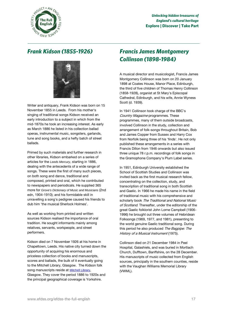

### **Frank Kidson (1855-1926)** *Frank Kidson (1855-1926)*



Writer and antiquary, Frank Kidson was born on 15 November 1855 in Leeds. From his mother's singing of traditional songs Kidson received an early introduction to a subject in which from the mid-1870s he took an increasing interest. As early as March 1886 he listed in his collection ballad operas, instrumental music, songsters, garlands, tune and song books, and a hefty batch of street ballads.

Primed by such materials and further research in other libraries, Kidson embarked on a series of articles for the *Leeds Mercury*, starting in 1886, dealing with the antecedents of a wide range of songs. These were the first of many such pieces, on both song and dance, traditional and composed, printed and oral, which he contributed to newspapers and periodicals. He supplied 365 more for *Grove's Dictionary of Music and Musicians* (2nd edn, 1904-1910); and his formidable skill in unravelling a song's pedigree caused his friends to dub him 'the musical Sherlock Holmes'.

As well as working from printed and written sources Kidson realised the importance of oral tradition. He sought informants mainly among relatives, servants, workpeople, and street performers.

Kidson died on 7 November 1926 at his home in Chapeltown, Leeds. His native city turned down the opportunity of acquiring his enormous and priceless collection of books and manuscripts, scores and ballads, the bulk of it eventually going to the Mitchell Library, Glasgow. The Kidson folk song manuscripts reside at [Mitchell Library](http://www.glasgowlife.org.uk/libraries/the-mitchell-library/Pages/home.aspx), Glasgow. They cover the period 1886 to 1920s and the principal geographical coverage is Yorkshire.

### *Francis James Montgomery Collinson (1898-1984)*

A musical director and musicologist, Francis James Montgomery Collinson was born on 20 January 1898 at Coates House, Manor Place, Edinburgh, the third of five children of Thomas Henry Collinson (1858-1928), organist at St Mary's Episcopal Cathedral, Edinburgh, and his wife, Annie Wyness Scott (d. 1939).

In 1941 Collinson took charge of the BBC's Country Magazine programmes. These programmes, many of them outside broadcasts, involved Collinson in the study, collection and arrangement of folk-songs throughout Britain, Bob and James Copper from Sussex and Harry Cox from Norfolk being three of his 'finds'. He not only published these arrangements in a series with Francis Dillon from 1946 onwards but also issued three unique 78 r.p.m. recordings of folk songs in the Gramophone Company's Plum Label series.

In 1951, Edinburgh University established the School of Scottish Studies and Collinson was invited back as the first musical research fellow, concentrating on the collection, study, and transcription of traditional song in both Scottish and Gaelic. In 1966 he made his name in the field of traditional music with his comprehensive and scholarly book The Traditional and National Music of Scotland. Thereafter, under the editorship of the great Gaelic folklorist John Lorne Campbell (1906- 1996) he brought out three volumes of Hebridean Folksongs (1969, 1977, and 1981), presenting to the world genuine Gaelic traditional song. During this period he also produced The Bagpipe: The History of a Musical Instrument (1975).

Collinson died on 21 December 1984 in Peel Hospital, Galashiels, and was buried in Mortlach Church, Dufftown, Banffshire, on the 28 December. His manuscripts of music collected from English sources, principally in the southern counties, reside with the Vaughan Williams Memorial Library (VWML).